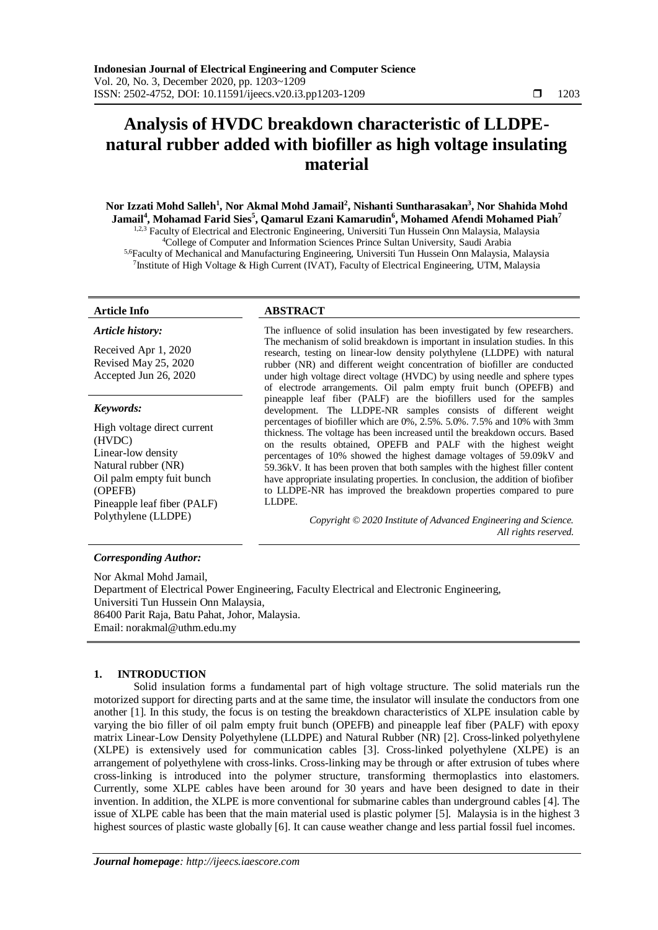# **Analysis of HVDC breakdown characteristic of LLDPEnatural rubber added with biofiller as high voltage insulating material**

**Nor Izzati Mohd Salleh<sup>1</sup> , Nor Akmal Mohd Jamail<sup>2</sup> , Nishanti Suntharasakan<sup>3</sup> , Nor Shahida Mohd Jamail<sup>4</sup> , Mohamad Farid Sies<sup>5</sup> , Qamarul Ezani Kamarudin<sup>6</sup> , Mohamed Afendi Mohamed Piah<sup>7</sup>** <sup>1,2,3</sup> Faculty of Electrical and Electronic Engineering, Universiti Tun Hussein Onn Malaysia, Malaysia <sup>4</sup>College of Computer and Information Sciences Prince Sultan University, Saudi Arabia 5,6Faculty of Mechanical and Manufacturing Engineering, Universiti Tun Hussein Onn Malaysia, Malaysia <sup>7</sup> Institute of High Voltage & High Current (IVAT), Faculty of Electrical Engineering, UTM, Malaysia

#### *Article history:*

Received Apr 1, 2020 Revised May 25, 2020 Accepted Jun 26, 2020

#### *Keywords:*

High voltage direct current (HVDC) Linear-low density Natural rubber (NR) Oil palm empty fuit bunch (OPEFB) Pineapple leaf fiber (PALF)

# **Article Info ABSTRACT**

The influence of solid insulation has been investigated by few researchers. The mechanism of solid breakdown is important in insulation studies. In this research, testing on linear-low density polythylene (LLDPE) with natural rubber (NR) and different weight concentration of biofiller are conducted under high voltage direct voltage (HVDC) by using needle and sphere types of electrode arrangements. Oil palm empty fruit bunch (OPEFB) and pineapple leaf fiber (PALF) are the biofillers used for the samples development. The LLDPE-NR samples consists of different weight percentages of biofiller which are 0%, 2.5%. 5.0%. 7.5% and 10% with 3mm thickness. The voltage has been increased until the breakdown occurs. Based on the results obtained, OPEFB and PALF with the highest weight percentages of 10% showed the highest damage voltages of 59.09kV and 59.36kV. It has been proven that both samples with the highest filler content have appropriate insulating properties. In conclusion, the addition of biofiber to LLDPE-NR has improved the breakdown properties compared to pure LLDPE.

Polythylene (LLDPE) *Copyright © 2020 Institute of Advanced Engineering and Science. All rights reserved.*

#### *Corresponding Author:*

Nor Akmal Mohd Jamail, Department of Electrical Power Engineering, Faculty Electrical and Electronic Engineering, Universiti Tun Hussein Onn Malaysia, 86400 Parit Raja, Batu Pahat, Johor, Malaysia. Email: norakmal@uthm.edu.my

### **1. INTRODUCTION**

Solid insulation forms a fundamental part of high voltage structure. The solid materials run the motorized support for directing parts and at the same time, the insulator will insulate the conductors from one another [1]. In this study, the focus is on testing the breakdown characteristics of XLPE insulation cable by varying the bio filler of oil palm empty fruit bunch (OPEFB) and pineapple leaf fiber (PALF) with epoxy matrix Linear-Low Density Polyethylene (LLDPE) and Natural Rubber (NR) [2]. Cross-linked polyethylene (XLPE) is extensively used for communication cables [3]. Cross-linked polyethylene (XLPE) is an arrangement of polyethylene with cross-links. Cross-linking may be through or after extrusion of tubes where cross-linking is introduced into the polymer structure, transforming thermoplastics into elastomers. Currently, some XLPE cables have been around for 30 years and have been designed to date in their invention. In addition, the XLPE is more conventional for submarine cables than underground cables [4]. The issue of XLPE cable has been that the main material used is plastic polymer [5]. Malaysia is in the highest 3 highest sources of plastic waste globally [6]. It can cause weather change and less partial fossil fuel incomes.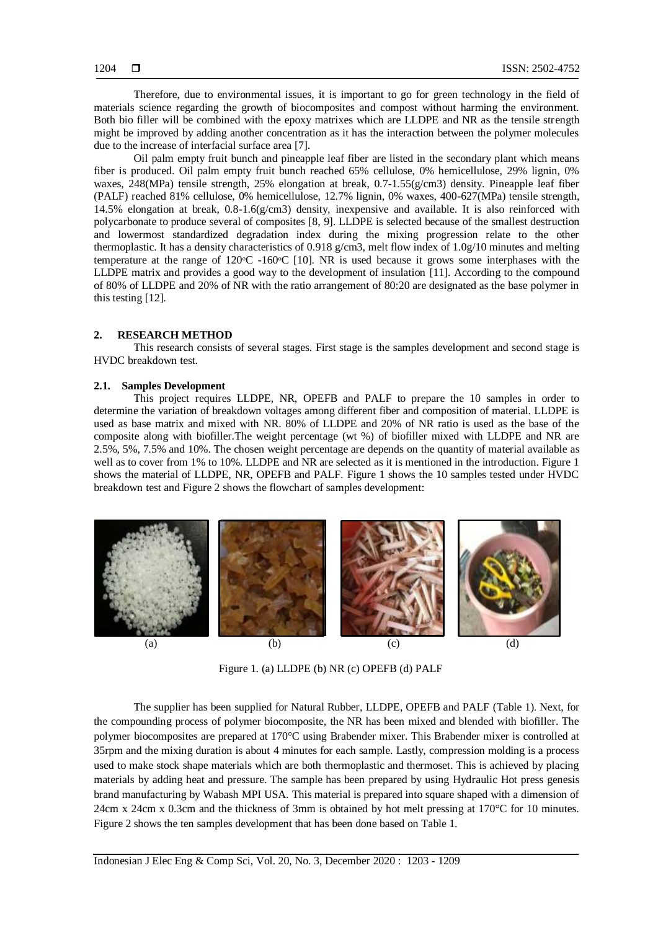Therefore, due to environmental issues, it is important to go for green technology in the field of materials science regarding the growth of biocomposites and compost without harming the environment. Both bio filler will be combined with the epoxy matrixes which are LLDPE and NR as the tensile strength might be improved by adding another concentration as it has the interaction between the polymer molecules due to the increase of interfacial surface area [7].

Oil palm empty fruit bunch and pineapple leaf fiber are listed in the secondary plant which means fiber is produced. Oil palm empty fruit bunch reached 65% cellulose, 0% hemicellulose, 29% lignin, 0% waxes,  $248(MPa)$  tensile strength,  $25\%$  elongation at break,  $0.7-1.55(g/cm3)$  density. Pineapple leaf fiber (PALF) reached 81% cellulose, 0% hemicellulose, 12.7% lignin, 0% waxes, 400-627(MPa) tensile strength, 14.5% elongation at break, 0.8-1.6(g/cm3) density, inexpensive and available. It is also reinforced with polycarbonate to produce several of composites [8, 9]. LLDPE is selected because of the smallest destruction and lowermost standardized degradation index during the mixing progression relate to the other thermoplastic. It has a density characteristics of 0.918 g/cm3, melt flow index of 1.0g/10 minutes and melting temperature at the range of  $120^{\circ}$ C -160 $^{\circ}$ C [10]. NR is used because it grows some interphases with the LLDPE matrix and provides a good way to the development of insulation [11]. According to the compound of 80% of LLDPE and 20% of NR with the ratio arrangement of 80:20 are designated as the base polymer in this testing [12].

# **2. RESEARCH METHOD**

This research consists of several stages. First stage is the samples development and second stage is HVDC breakdown test.

#### **2.1. Samples Development**

This project requires LLDPE, NR, OPEFB and PALF to prepare the 10 samples in order to determine the variation of breakdown voltages among different fiber and composition of material. LLDPE is used as base matrix and mixed with NR. 80% of LLDPE and 20% of NR ratio is used as the base of the composite along with biofiller.The weight percentage (wt %) of biofiller mixed with LLDPE and NR are 2.5%, 5%, 7.5% and 10%. The chosen weight percentage are depends on the quantity of material available as well as to cover from 1% to 10%. LLDPE and NR are selected as it is mentioned in the introduction. Figure 1 shows the material of LLDPE, NR, OPEFB and PALF. Figure 1 shows the 10 samples tested under HVDC breakdown test and Figure 2 shows the flowchart of samples development:



Figure 1. (a) LLDPE (b) NR (c) OPEFB (d) PALF

The supplier has been supplied for Natural Rubber, LLDPE, OPEFB and PALF (Table 1). Next, for the compounding process of polymer biocomposite, the NR has been mixed and blended with biofiller. The polymer biocomposites are prepared at 170°C using Brabender mixer. This Brabender mixer is controlled at 35rpm and the mixing duration is about 4 minutes for each sample. Lastly, compression molding is a process used to make stock shape materials which are both thermoplastic and thermoset. This is achieved by placing materials by adding heat and pressure. The sample has been prepared by using Hydraulic Hot press genesis brand manufacturing by Wabash MPI USA. This material is prepared into square shaped with a dimension of 24cm x 24cm x 0.3cm and the thickness of 3mm is obtained by hot melt pressing at 170°C for 10 minutes. Figure 2 shows the ten samples development that has been done based on Table 1.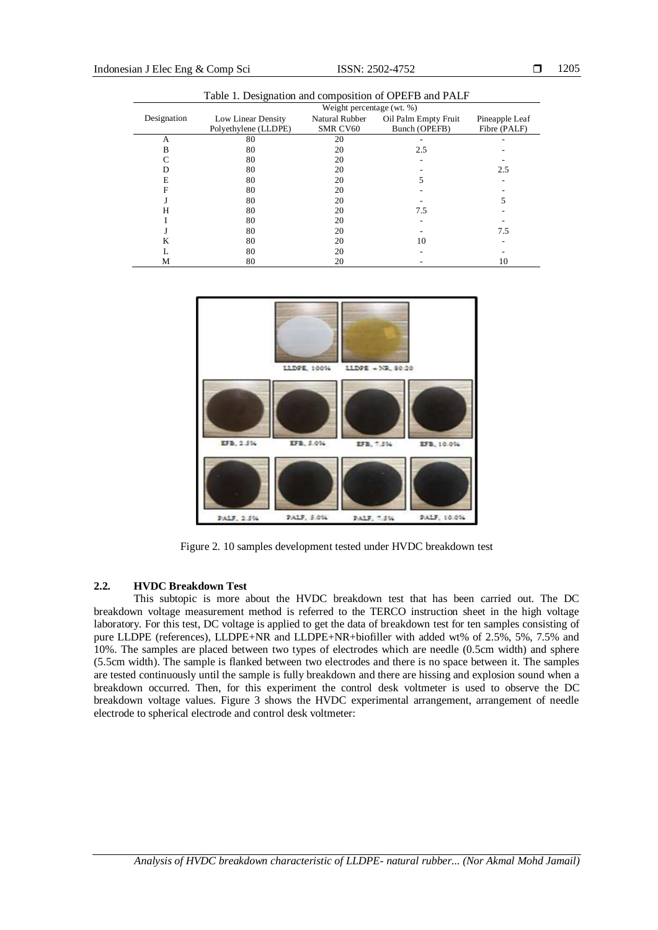| Tuble 1. Designation and composition of OTER B and Frame |                           |                 |                      |                |  |  |  |
|----------------------------------------------------------|---------------------------|-----------------|----------------------|----------------|--|--|--|
|                                                          | Weight percentage (wt. %) |                 |                      |                |  |  |  |
| Designation                                              | Low Linear Density        | Natural Rubber  | Oil Palm Empty Fruit | Pineapple Leaf |  |  |  |
|                                                          | Polyethylene (LLDPE)      | <b>SMR CV60</b> | Bunch (OPEFB)        | Fibre (PALF)   |  |  |  |
| А                                                        | 80                        | 20              |                      |                |  |  |  |
| B                                                        | 80                        | 20              | 2.5                  |                |  |  |  |
| C                                                        | 80                        | 20              |                      |                |  |  |  |
| D                                                        | 80                        | 20              |                      | 2.5            |  |  |  |
| E                                                        | 80                        | 20              |                      |                |  |  |  |
| F                                                        | 80                        | 20              |                      |                |  |  |  |
|                                                          | 80                        | 20              |                      |                |  |  |  |
| Н                                                        | 80                        | 20              | 7.5                  |                |  |  |  |
|                                                          | 80                        | 20              |                      |                |  |  |  |
|                                                          | 80                        | 20              |                      | 7.5            |  |  |  |
| K                                                        | 80                        | 20              | 10                   |                |  |  |  |
| L                                                        | 80                        | 20              |                      |                |  |  |  |
| М                                                        | 80                        | 20              |                      | 10             |  |  |  |

Table 1. Designation and composition of OPEFB and PALF



Figure 2. 10 samples development tested under HVDC breakdown test

### **2.2. HVDC Breakdown Test**

This subtopic is more about the HVDC breakdown test that has been carried out. The DC breakdown voltage measurement method is referred to the TERCO instruction sheet in the high voltage laboratory. For this test, DC voltage is applied to get the data of breakdown test for ten samples consisting of pure LLDPE (references), LLDPE+NR and LLDPE+NR+biofiller with added wt% of 2.5%, 5%, 7.5% and 10%. The samples are placed between two types of electrodes which are needle (0.5cm width) and sphere (5.5cm width). The sample is flanked between two electrodes and there is no space between it. The samples are tested continuously until the sample is fully breakdown and there are hissing and explosion sound when a breakdown occurred. Then, for this experiment the control desk voltmeter is used to observe the DC breakdown voltage values. Figure 3 shows the HVDC experimental arrangement, arrangement of needle electrode to spherical electrode and control desk voltmeter: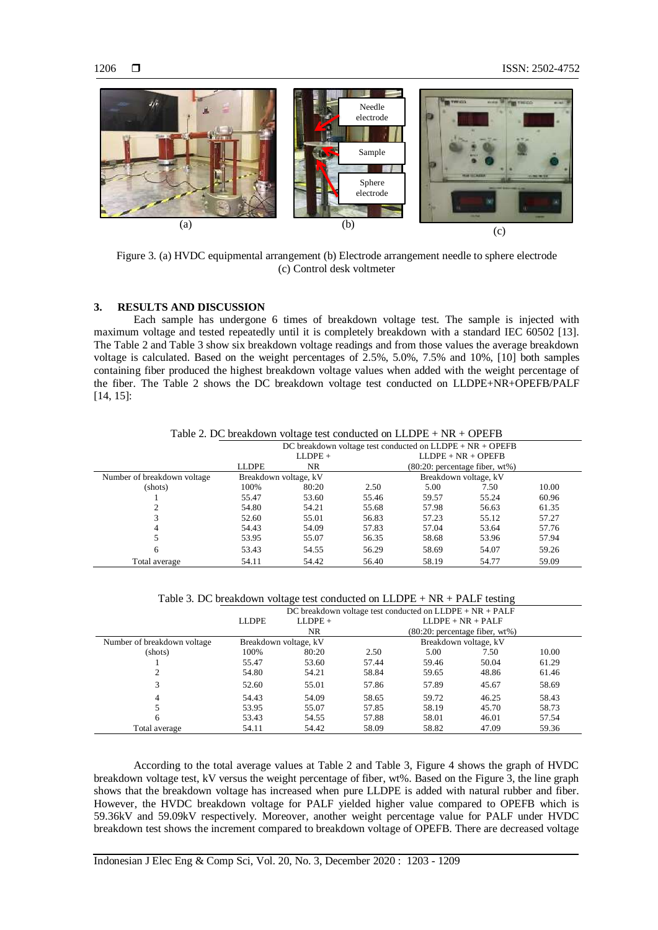

Figure 3. (a) HVDC equipmental arrangement (b) Electrode arrangement needle to sphere electrode (c) Control desk voltmeter

### **3. RESULTS AND DISCUSSION**

Each sample has undergone 6 times of breakdown voltage test. The sample is injected with maximum voltage and tested repeatedly until it is completely breakdown with a standard IEC 60502 [13]. The Table 2 and Table 3 show six breakdown voltage readings and from those values the average breakdown voltage is calculated. Based on the weight percentages of 2.5%, 5.0%, 7.5% and 10%, [10] both samples containing fiber produced the highest breakdown voltage values when added with the weight percentage of the fiber. The Table 2 shows the DC breakdown voltage test conducted on LLDPE+NR+OPEFB/PALF [14, 15]:

|                             | DC breakdown voltage test conducted on $LLDPE + NR + OPEFB$ |       |                                    |       |       |       |
|-----------------------------|-------------------------------------------------------------|-------|------------------------------------|-------|-------|-------|
| $LLDPE +$                   |                                                             |       | $LLDPE + NR + OPEFB$               |       |       |       |
|                             | <b>LLDPE</b>                                                | NR.   | $(80:20)$ : percentage fiber, wt%) |       |       |       |
| Number of breakdown voltage | Breakdown voltage, kV                                       |       | Breakdown voltage, kV              |       |       |       |
| (shots)                     | 100%                                                        | 80:20 | 2.50                               | 5.00  | 7.50  | 10.00 |
|                             | 55.47                                                       | 53.60 | 55.46                              | 59.57 | 55.24 | 60.96 |
|                             | 54.80                                                       | 54.21 | 55.68                              | 57.98 | 56.63 | 61.35 |
|                             | 52.60                                                       | 55.01 | 56.83                              | 57.23 | 55.12 | 57.27 |
| 4                           | 54.43                                                       | 54.09 | 57.83                              | 57.04 | 53.64 | 57.76 |
|                             | 53.95                                                       | 55.07 | 56.35                              | 58.68 | 53.96 | 57.94 |
| 6                           | 53.43                                                       | 54.55 | 56.29                              | 58.69 | 54.07 | 59.26 |
| Total average               | 54.11                                                       | 54.42 | 56.40                              | 58.19 | 54.77 | 59.09 |

Table 2. DC breakdown voltage test conducted on LLDPE + NR + OPEFB

Table 3. DC breakdown voltage test conducted on LLDPE + NR + PALF testing

|                             | DC breakdown voltage test conducted on $LLDPE + NR + PALF$ |           |       |                                    |                     |       |
|-----------------------------|------------------------------------------------------------|-----------|-------|------------------------------------|---------------------|-------|
|                             | <b>LLDPE</b>                                               | $LLDPE +$ |       |                                    | $LLDPE + NR + PALF$ |       |
|                             | NR.                                                        |           |       | $(80:20)$ : percentage fiber, wt%) |                     |       |
| Number of breakdown voltage | Breakdown voltage, kV                                      |           |       | Breakdown voltage, kV              |                     |       |
| (shots)                     | 100%                                                       | 80:20     | 2.50  | 5.00                               | 7.50                | 10.00 |
|                             | 55.47                                                      | 53.60     | 57.44 | 59.46                              | 50.04               | 61.29 |
|                             | 54.80                                                      | 54.21     | 58.84 | 59.65                              | 48.86               | 61.46 |
|                             | 52.60                                                      | 55.01     | 57.86 | 57.89                              | 45.67               | 58.69 |
| 4                           | 54.43                                                      | 54.09     | 58.65 | 59.72                              | 46.25               | 58.43 |
|                             | 53.95                                                      | 55.07     | 57.85 | 58.19                              | 45.70               | 58.73 |
| 6                           | 53.43                                                      | 54.55     | 57.88 | 58.01                              | 46.01               | 57.54 |
| Total average               | 54.11                                                      | 54.42     | 58.09 | 58.82                              | 47.09               | 59.36 |

According to the total average values at Table 2 and Table 3, Figure 4 shows the graph of HVDC breakdown voltage test, kV versus the weight percentage of fiber, wt%. Based on the Figure 3, the line graph shows that the breakdown voltage has increased when pure LLDPE is added with natural rubber and fiber. However, the HVDC breakdown voltage for PALF yielded higher value compared to OPEFB which is 59.36kV and 59.09kV respectively. Moreover, another weight percentage value for PALF under HVDC breakdown test shows the increment compared to breakdown voltage of OPEFB. There are decreased voltage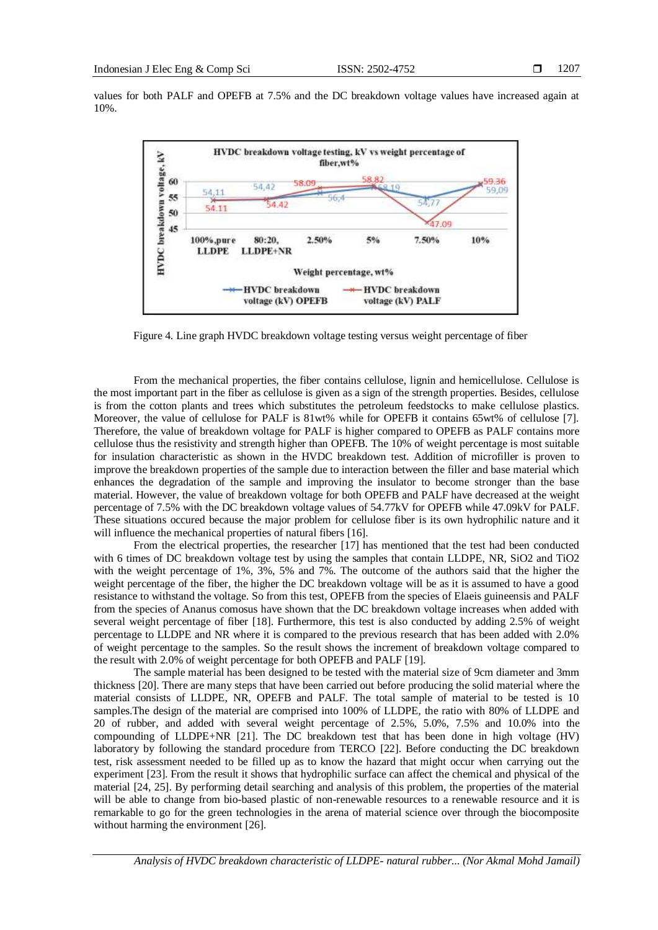values for both PALF and OPEFB at 7.5% and the DC breakdown voltage values have increased again at 10%.



Figure 4. Line graph HVDC breakdown voltage testing versus weight percentage of fiber

From the mechanical properties, the fiber contains cellulose, lignin and hemicellulose. Cellulose is the most important part in the fiber as cellulose is given as a sign of the strength properties. Besides, cellulose is from the cotton plants and trees which substitutes the petroleum feedstocks to make cellulose plastics. Moreover, the value of cellulose for PALF is  $81wt\%$  while for OPEFB it contains 65wt% of cellulose [7]. Therefore, the value of breakdown voltage for PALF is higher compared to OPEFB as PALF contains more cellulose thus the resistivity and strength higher than OPEFB. The 10% of weight percentage is most suitable for insulation characteristic as shown in the HVDC breakdown test. Addition of microfiller is proven to improve the breakdown properties of the sample due to interaction between the filler and base material which enhances the degradation of the sample and improving the insulator to become stronger than the base material. However, the value of breakdown voltage for both OPEFB and PALF have decreased at the weight percentage of 7.5% with the DC breakdown voltage values of 54.77kV for OPEFB while 47.09kV for PALF. These situations occured because the major problem for cellulose fiber is its own hydrophilic nature and it will influence the mechanical properties of natural fibers [16].

From the electrical properties, the researcher [17] has mentioned that the test had been conducted with 6 times of DC breakdown voltage test by using the samples that contain LLDPE, NR, SiO2 and TiO2 with the weight percentage of 1%, 3%, 5% and 7%. The outcome of the authors said that the higher the weight percentage of the fiber, the higher the DC breakdown voltage will be as it is assumed to have a good resistance to withstand the voltage. So from this test, OPEFB from the species of Elaeis guineensis and PALF from the species of Ananus comosus have shown that the DC breakdown voltage increases when added with several weight percentage of fiber [18]. Furthermore, this test is also conducted by adding 2.5% of weight percentage to LLDPE and NR where it is compared to the previous research that has been added with 2.0% of weight percentage to the samples. So the result shows the increment of breakdown voltage compared to the result with 2.0% of weight percentage for both OPEFB and PALF [19].

The sample material has been designed to be tested with the material size of 9cm diameter and 3mm thickness [20]. There are many steps that have been carried out before producing the solid material where the material consists of LLDPE, NR, OPEFB and PALF. The total sample of material to be tested is 10 samples.The design of the material are comprised into 100% of LLDPE, the ratio with 80% of LLDPE and 20 of rubber, and added with several weight percentage of 2.5%, 5.0%, 7.5% and 10.0% into the compounding of LLDPE+NR [21]. The DC breakdown test that has been done in high voltage (HV) laboratory by following the standard procedure from TERCO [22]. Before conducting the DC breakdown test, risk assessment needed to be filled up as to know the hazard that might occur when carrying out the experiment [23]. From the result it shows that hydrophilic surface can affect the chemical and physical of the material [24, 25]. By performing detail searching and analysis of this problem, the properties of the material will be able to change from bio-based plastic of non-renewable resources to a renewable resource and it is remarkable to go for the green technologies in the arena of material science over through the biocomposite without harming the environment [26].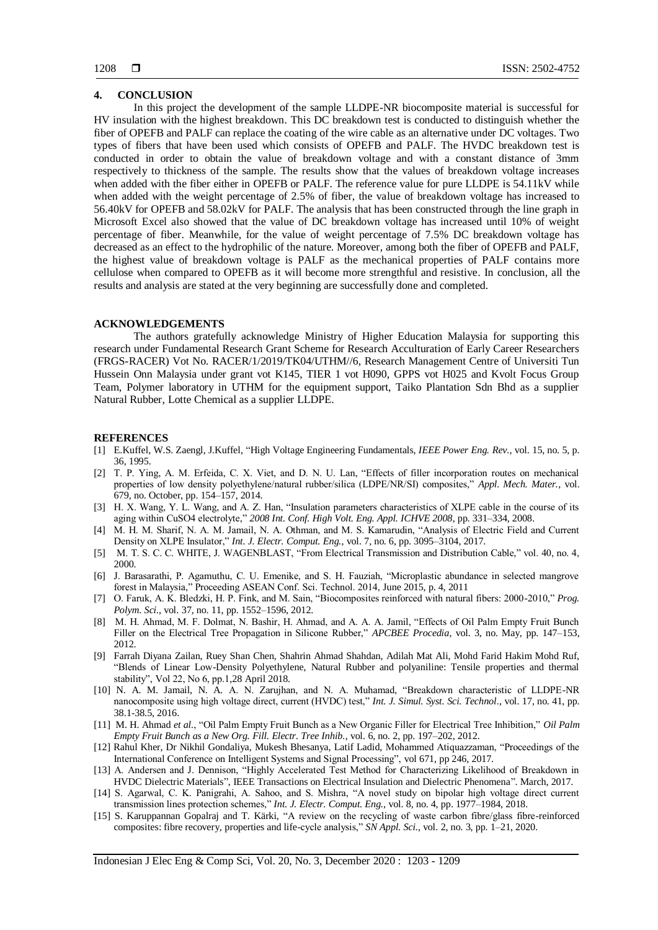#### **4. CONCLUSION**

In this project the development of the sample LLDPE-NR biocomposite material is successful for HV insulation with the highest breakdown. This DC breakdown test is conducted to distinguish whether the fiber of OPEFB and PALF can replace the coating of the wire cable as an alternative under DC voltages. Two types of fibers that have been used which consists of OPEFB and PALF. The HVDC breakdown test is conducted in order to obtain the value of breakdown voltage and with a constant distance of 3mm respectively to thickness of the sample. The results show that the values of breakdown voltage increases when added with the fiber either in OPEFB or PALF. The reference value for pure LLDPE is 54.11kV while when added with the weight percentage of 2.5% of fiber, the value of breakdown voltage has increased to 56.40kV for OPEFB and 58.02kV for PALF. The analysis that has been constructed through the line graph in Microsoft Excel also showed that the value of DC breakdown voltage has increased until 10% of weight percentage of fiber. Meanwhile, for the value of weight percentage of 7.5% DC breakdown voltage has decreased as an effect to the hydrophilic of the nature. Moreover, among both the fiber of OPEFB and PALF, the highest value of breakdown voltage is PALF as the mechanical properties of PALF contains more cellulose when compared to OPEFB as it will become more strengthful and resistive. In conclusion, all the results and analysis are stated at the very beginning are successfully done and completed.

#### **ACKNOWLEDGEMENTS**

The authors gratefully acknowledge Ministry of Higher Education Malaysia for supporting this research under Fundamental Research Grant Scheme for Research Acculturation of Early Career Researchers (FRGS-RACER) Vot No. RACER/1/2019/TK04/UTHM//6, Research Management Centre of Universiti Tun Hussein Onn Malaysia under grant vot K145, TIER 1 vot H090, GPPS vot H025 and Kvolt Focus Group Team, Polymer laboratory in UTHM for the equipment support, Taiko Plantation Sdn Bhd as a supplier Natural Rubber, Lotte Chemical as a supplier LLDPE.

#### **REFERENCES**

- [1] E.Kuffel, W.S. Zaengl, J.Kuffel, "High Voltage Engineering Fundamentals, *IEEE Power Eng. Rev.*, vol. 15, no. 5, p. 36, 1995.
- [2] T. P. Ying, A. M. Erfeida, C. X. Viet, and D. N. U. Lan, "Effects of filler incorporation routes on mechanical properties of low density polyethylene/natural rubber/silica (LDPE/NR/SI) composites," *Appl. Mech. Mater.*, vol. 679, no. October, pp. 154–157, 2014.
- [3] H. X. Wang, Y. L. Wang, and A. Z. Han, "Insulation parameters characteristics of XLPE cable in the course of its aging within CuSO4 electrolyte," *2008 Int. Conf. High Volt. Eng. Appl. ICHVE 2008*, pp. 331–334, 2008.
- [4] M. H. M. Sharif, N. A. M. Jamail, N. A. Othman, and M. S. Kamarudin, "Analysis of Electric Field and Current Density on XLPE Insulator," *Int. J. Electr. Comput. Eng.*, vol. 7, no. 6, pp. 3095–3104, 2017.
- [5] M. T. S. C. C. WHITE, J. WAGENBLAST, "From Electrical Transmission and Distribution Cable," vol. 40, no. 4, 2000.
- [6] J. Barasarathi, P. Agamuthu, C. U. Emenike, and S. H. Fauziah, "Microplastic abundance in selected mangrove forest in Malaysia," Proceeding ASEAN Conf. Sci. Technol. 2014, June 2015, p. 4, 2011
- [7] O. Faruk, A. K. Bledzki, H. P. Fink, and M. Sain, "Biocomposites reinforced with natural fibers: 2000-2010," *Prog. Polym. Sci.,* vol. 37, no. 11, pp. 1552–1596, 2012.
- [8] M. H. Ahmad, M. F. Dolmat, N. Bashir, H. Ahmad, and A. A. A. Jamil, "Effects of Oil Palm Empty Fruit Bunch Filler on the Electrical Tree Propagation in Silicone Rubber," *APCBEE Procedia*, vol. 3, no. May, pp. 147–153, 2012.
- [9] Farrah Diyana Zailan, Ruey Shan Chen, Shahrin Ahmad Shahdan, Adilah Mat Ali, Mohd Farid Hakim Mohd Ruf, "Blends of Linear Low-Density Polyethylene, Natural Rubber and polyaniline: Tensile properties and thermal stability", Vol 22, No 6, pp.1,28 April 2018.
- [10] N. A. M. Jamail, N. A. A. N. Zarujhan, and N. A. Muhamad, "Breakdown characteristic of LLDPE-NR nanocomposite using high voltage direct, current (HVDC) test," *Int. J. Simul. Syst. Sci. Technol*., vol. 17, no. 41, pp. 38.1-38.5, 2016.
- [11] M. H. Ahmad *et al.*, "Oil Palm Empty Fruit Bunch as a New Organic Filler for Electrical Tree Inhibition," *Oil Palm Empty Fruit Bunch as a New Org. Fill. Electr. Tree Inhib.*, vol. 6, no. 2, pp. 197–202, 2012.
- [12] Rahul Kher, Dr Nikhil Gondaliya, Mukesh Bhesanya, Latif Ladid, Mohammed Atiquazzaman, "Proceedings of the International Conference on Intelligent Systems and Signal Processing", vol 671, pp 246, 2017.
- [13] A. Andersen and J. Dennison, "Highly Accelerated Test Method for Characterizing Likelihood of Breakdown in HVDC Dielectric Materials", IEEE Transactions on Electrical Insulation and Dielectric Phenomena". March, 2017.
- [14] S. Agarwal, C. K. Panigrahi, A. Sahoo, and S. Mishra, "A novel study on bipolar high voltage direct current transmission lines protection schemes," *Int. J. Electr. Comput. Eng.*, vol. 8, no. 4, pp. 1977–1984, 2018.
- [15] S. Karuppannan Gopalraj and T. Kärki, "A review on the recycling of waste carbon fibre/glass fibre-reinforced composites: fibre recovery, properties and life-cycle analysis," *SN Appl. Sci.,* vol. 2, no. 3, pp. 1–21, 2020.